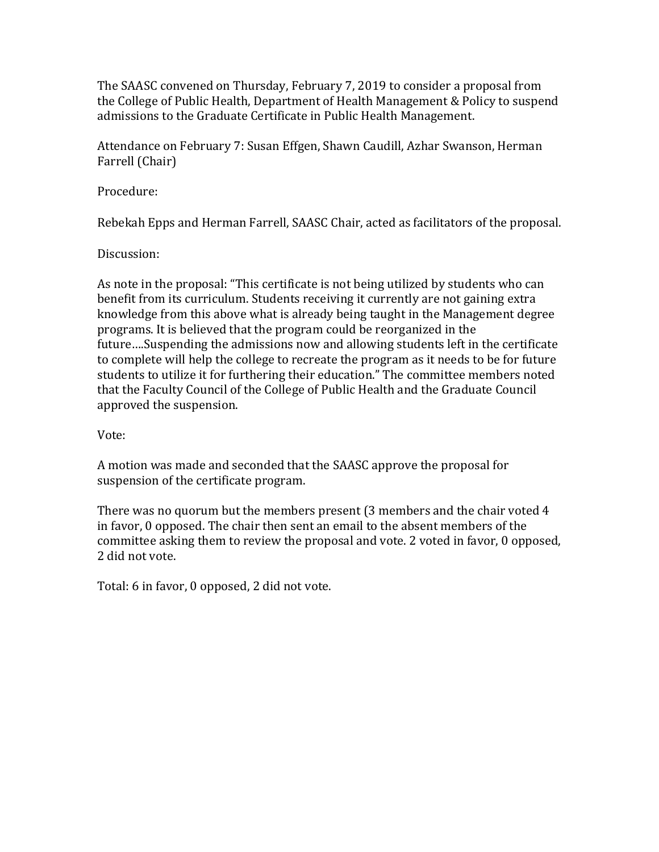The SAASC convened on Thursday, February 7, 2019 to consider a proposal from the College of Public Health, Department of Health Management & Policy to suspend admissions to the Graduate Certificate in Public Health Management.

Attendance on February 7: Susan Effgen, Shawn Caudill, Azhar Swanson, Herman Farrell (Chair)

Procedure:

Rebekah Epps and Herman Farrell, SAASC Chair, acted as facilitators of the proposal.

Discussion:

As note in the proposal: "This certificate is not being utilized by students who can benefit from its curriculum. Students receiving it currently are not gaining extra knowledge from this above what is already being taught in the Management degree programs. It is believed that the program could be reorganized in the future....Suspending the admissions now and allowing students left in the certificate to complete will help the college to recreate the program as it needs to be for future students to utilize it for furthering their education." The committee members noted that the Faculty Council of the College of Public Health and the Graduate Council approved the suspension.

Vote:

A motion was made and seconded that the SAASC approve the proposal for suspension of the certificate program.

There was no quorum but the members present  $(3 \text{ members and the chair voted } 4)$ in favor, 0 opposed. The chair then sent an email to the absent members of the committee asking them to review the proposal and vote. 2 voted in favor, 0 opposed, 2 did not vote.

Total: 6 in favor, 0 opposed, 2 did not vote.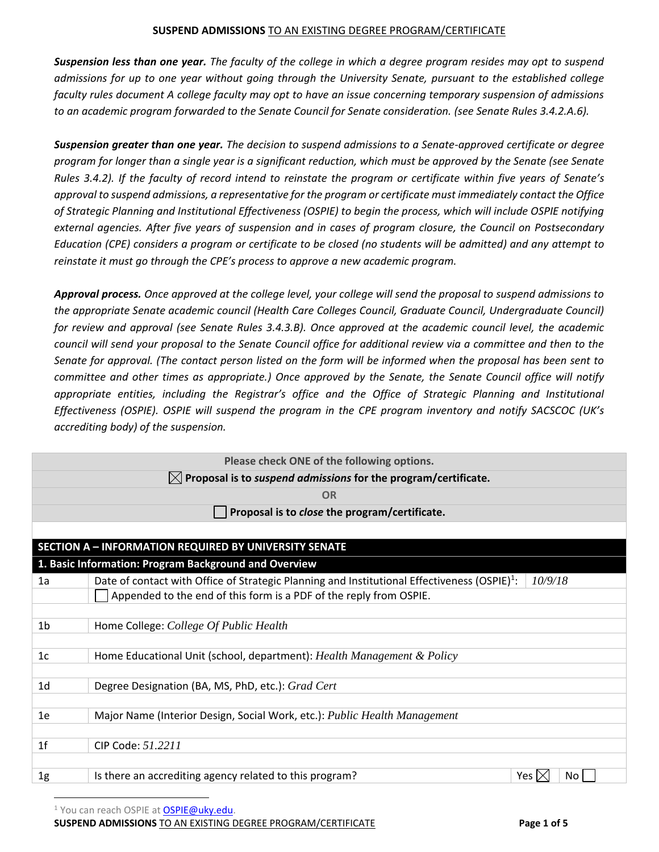*Suspension less than one year. The faculty of the college in which a degree program resides may opt to suspend admissions for up to one year without going through the University Senate, pursuant to the established college faculty rules document A college faculty may opt to have an issue concerning temporary suspension of admissions to an academic program forwarded to the Senate Council for Senate consideration. (see Senate Rules 3.4.2.A.6).*

*Suspension greater than one year. The decision to suspend admissions to a Senate-approved certificate or degree program for longer than a single year is a significant reduction, which must be approved by the Senate (see Senate Rules 3.4.2). If the faculty of record intend to reinstate the program or certificate within five years of Senate's approval to suspend admissions, a representative for the program or certificate must immediately contact the Office of Strategic Planning and Institutional Effectiveness (OSPIE) to begin the process, which will include OSPIE notifying external agencies. After five years of suspension and in cases of program closure, the Council on Postsecondary Education (CPE) considers a program or certificate to be closed (no students will be admitted) and any attempt to reinstate it must go through the CPE's process to approve a new academic program.*

*Approval process. Once approved at the college level, your college will send the proposal to suspend admissions to the appropriate Senate academic council (Health Care Colleges Council, Graduate Council, Undergraduate Council) for review and approval (see Senate Rules 3.4.3.B). Once approved at the academic council level, the academic council will send your proposal to the Senate Council office for additional review via a committee and then to the Senate for approval. (The contact person listed on the form will be informed when the proposal has been sent to committee and other times as appropriate.) Once approved by the Senate, the Senate Council office will notify appropriate entities, including the Registrar's office and the Office of Strategic Planning and Institutional Effectiveness (OSPIE). OSPIE will suspend the program in the CPE program inventory and notify SACSCOC (UK's accrediting body) of the suspension.* 



<sup>1</sup> You can reach OSPIE at **OSPIE@uky.edu**.

**SUSPEND ADMISSIONS** TO AN EXISTING DEGREE PROGRAM/CERTIFICATE **Page 1 of 5**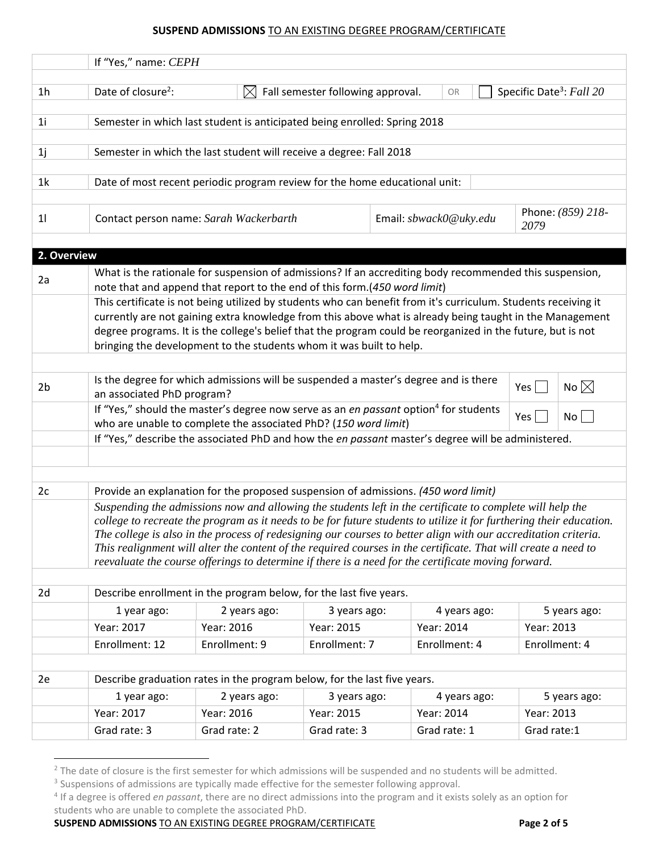|                | If "Yes," name: CEPH                                                                                                                                                                                                                                                                                                                                                                                                                                                                                                                                                                                                                                              |                                                                                                                                                                     |                                   |                        |                                                                                                                                                                                                                                                                                                                                                                                                                                                                                                                                                                                                                         |                           |  |
|----------------|-------------------------------------------------------------------------------------------------------------------------------------------------------------------------------------------------------------------------------------------------------------------------------------------------------------------------------------------------------------------------------------------------------------------------------------------------------------------------------------------------------------------------------------------------------------------------------------------------------------------------------------------------------------------|---------------------------------------------------------------------------------------------------------------------------------------------------------------------|-----------------------------------|------------------------|-------------------------------------------------------------------------------------------------------------------------------------------------------------------------------------------------------------------------------------------------------------------------------------------------------------------------------------------------------------------------------------------------------------------------------------------------------------------------------------------------------------------------------------------------------------------------------------------------------------------------|---------------------------|--|
| 1 <sub>h</sub> | Date of closure <sup>2</sup> :                                                                                                                                                                                                                                                                                                                                                                                                                                                                                                                                                                                                                                    | $\boxtimes$                                                                                                                                                         | Fall semester following approval. | OR                     |                                                                                                                                                                                                                                                                                                                                                                                                                                                                                                                                                                                                                         |                           |  |
| 1 <sub>i</sub> | Semester in which last student is anticipated being enrolled: Spring 2018                                                                                                                                                                                                                                                                                                                                                                                                                                                                                                                                                                                         |                                                                                                                                                                     |                                   |                        |                                                                                                                                                                                                                                                                                                                                                                                                                                                                                                                                                                                                                         |                           |  |
| 1j             |                                                                                                                                                                                                                                                                                                                                                                                                                                                                                                                                                                                                                                                                   | Semester in which the last student will receive a degree: Fall 2018                                                                                                 |                                   |                        |                                                                                                                                                                                                                                                                                                                                                                                                                                                                                                                                                                                                                         |                           |  |
| 1 <sub>k</sub> |                                                                                                                                                                                                                                                                                                                                                                                                                                                                                                                                                                                                                                                                   | Date of most recent periodic program review for the home educational unit:                                                                                          |                                   |                        |                                                                                                                                                                                                                                                                                                                                                                                                                                                                                                                                                                                                                         |                           |  |
| 11             |                                                                                                                                                                                                                                                                                                                                                                                                                                                                                                                                                                                                                                                                   | Contact person name: Sarah Wackerbarth                                                                                                                              |                                   | Email: sbwack0@uky.edu |                                                                                                                                                                                                                                                                                                                                                                                                                                                                                                                                                                                                                         | Phone: (859) 218-<br>2079 |  |
| 2. Overview    |                                                                                                                                                                                                                                                                                                                                                                                                                                                                                                                                                                                                                                                                   |                                                                                                                                                                     |                                   |                        |                                                                                                                                                                                                                                                                                                                                                                                                                                                                                                                                                                                                                         |                           |  |
| 2a             |                                                                                                                                                                                                                                                                                                                                                                                                                                                                                                                                                                                                                                                                   | note that and append that report to the end of this form.(450 word limit)                                                                                           |                                   |                        |                                                                                                                                                                                                                                                                                                                                                                                                                                                                                                                                                                                                                         |                           |  |
|                |                                                                                                                                                                                                                                                                                                                                                                                                                                                                                                                                                                                                                                                                   | bringing the development to the students whom it was built to help.                                                                                                 |                                   |                        |                                                                                                                                                                                                                                                                                                                                                                                                                                                                                                                                                                                                                         |                           |  |
| 2 <sub>b</sub> | Is the degree for which admissions will be suspended a master's degree and is there<br>an associated PhD program?                                                                                                                                                                                                                                                                                                                                                                                                                                                                                                                                                 |                                                                                                                                                                     |                                   |                        |                                                                                                                                                                                                                                                                                                                                                                                                                                                                                                                                                                                                                         | No $\boxtimes$            |  |
|                |                                                                                                                                                                                                                                                                                                                                                                                                                                                                                                                                                                                                                                                                   | If "Yes," should the master's degree now serve as an en passant option <sup>4</sup> for students<br>who are unable to complete the associated PhD? (150 word limit) |                                   |                        | Specific Date <sup>3</sup> : Fall 20<br>What is the rationale for suspension of admissions? If an accrediting body recommended this suspension,<br>This certificate is not being utilized by students who can benefit from it's curriculum. Students receiving it<br>currently are not gaining extra knowledge from this above what is already being taught in the Management<br>degree programs. It is the college's belief that the program could be reorganized in the future, but is not<br>Yes $ $<br>$No \Box$<br>Yes<br>5 years ago:<br>Year: 2013<br>Enrollment: 4<br>5 years ago:<br>Year: 2013<br>Grad rate:1 |                           |  |
|                |                                                                                                                                                                                                                                                                                                                                                                                                                                                                                                                                                                                                                                                                   | If "Yes," describe the associated PhD and how the en passant master's degree will be administered.                                                                  |                                   |                        |                                                                                                                                                                                                                                                                                                                                                                                                                                                                                                                                                                                                                         |                           |  |
| 2c             |                                                                                                                                                                                                                                                                                                                                                                                                                                                                                                                                                                                                                                                                   |                                                                                                                                                                     |                                   |                        |                                                                                                                                                                                                                                                                                                                                                                                                                                                                                                                                                                                                                         |                           |  |
|                | Provide an explanation for the proposed suspension of admissions. (450 word limit)<br>Suspending the admissions now and allowing the students left in the certificate to complete will help the<br>college to recreate the program as it needs to be for future students to utilize it for furthering their education.<br>The college is also in the process of redesigning our courses to better align with our accreditation criteria.<br>This realignment will alter the content of the required courses in the certificate. That will create a need to<br>reevaluate the course offerings to determine if there is a need for the certificate moving forward. |                                                                                                                                                                     |                                   |                        |                                                                                                                                                                                                                                                                                                                                                                                                                                                                                                                                                                                                                         |                           |  |
| 2d             |                                                                                                                                                                                                                                                                                                                                                                                                                                                                                                                                                                                                                                                                   | Describe enrollment in the program below, for the last five years.                                                                                                  |                                   |                        |                                                                                                                                                                                                                                                                                                                                                                                                                                                                                                                                                                                                                         |                           |  |
|                | 1 year ago:                                                                                                                                                                                                                                                                                                                                                                                                                                                                                                                                                                                                                                                       | 2 years ago:                                                                                                                                                        | 3 years ago:                      | 4 years ago:           |                                                                                                                                                                                                                                                                                                                                                                                                                                                                                                                                                                                                                         |                           |  |
|                | Year: 2017                                                                                                                                                                                                                                                                                                                                                                                                                                                                                                                                                                                                                                                        | Year: 2016                                                                                                                                                          | Year: 2015                        | Year: 2014             |                                                                                                                                                                                                                                                                                                                                                                                                                                                                                                                                                                                                                         |                           |  |
|                | Enrollment: 12                                                                                                                                                                                                                                                                                                                                                                                                                                                                                                                                                                                                                                                    | Enrollment: 9                                                                                                                                                       | Enrollment: 7                     | Enrollment: 4          |                                                                                                                                                                                                                                                                                                                                                                                                                                                                                                                                                                                                                         |                           |  |
| 2e             |                                                                                                                                                                                                                                                                                                                                                                                                                                                                                                                                                                                                                                                                   | Describe graduation rates in the program below, for the last five years.                                                                                            |                                   |                        |                                                                                                                                                                                                                                                                                                                                                                                                                                                                                                                                                                                                                         |                           |  |
|                | 1 year ago:                                                                                                                                                                                                                                                                                                                                                                                                                                                                                                                                                                                                                                                       | 2 years ago:                                                                                                                                                        | 3 years ago:                      | 4 years ago:           |                                                                                                                                                                                                                                                                                                                                                                                                                                                                                                                                                                                                                         |                           |  |
|                | Year: 2017                                                                                                                                                                                                                                                                                                                                                                                                                                                                                                                                                                                                                                                        | Year: 2016                                                                                                                                                          | Year: 2015                        | Year: 2014             |                                                                                                                                                                                                                                                                                                                                                                                                                                                                                                                                                                                                                         |                           |  |
|                | Grad rate: 3                                                                                                                                                                                                                                                                                                                                                                                                                                                                                                                                                                                                                                                      | Grad rate: 2                                                                                                                                                        | Grad rate: 3                      | Grad rate: 1           |                                                                                                                                                                                                                                                                                                                                                                                                                                                                                                                                                                                                                         |                           |  |

**SUSPEND ADMISSIONS** TO AN EXISTING DEGREE PROGRAM/CERTIFICATE **Page 2 of 5**

 $\overline{a}$ 

<sup>&</sup>lt;sup>2</sup> The date of closure is the first semester for which admissions will be suspended and no students will be admitted.

<sup>&</sup>lt;sup>3</sup> Suspensions of admissions are typically made effective for the semester following approval.

<sup>4</sup> If a degree is offered *en passant*, there are no direct admissions into the program and it exists solely as an option for students who are unable to complete the associated PhD.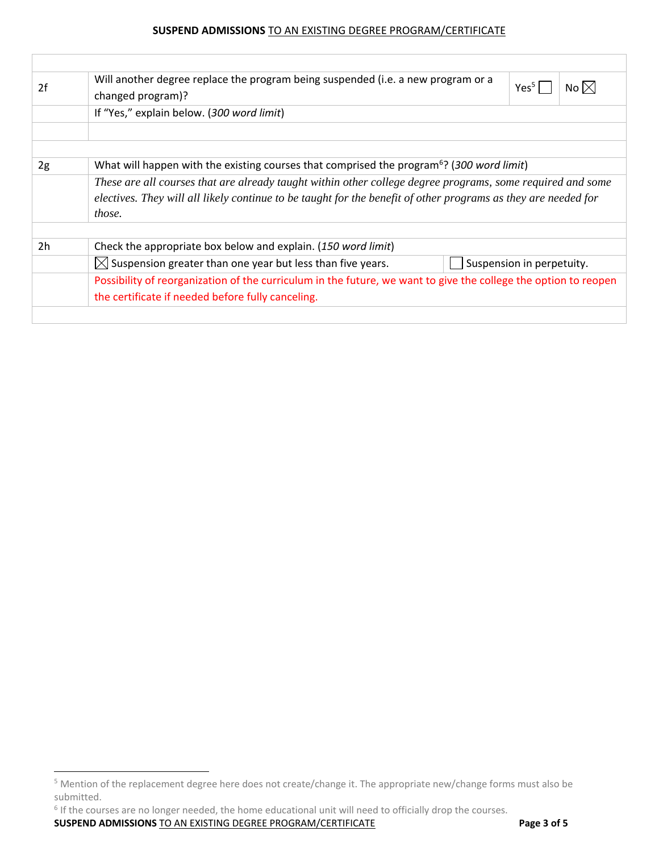| 2f             | Will another degree replace the program being suspended (i.e. a new program or a<br>Yes <sup>5</sup><br>No $ \times $<br>changed program)? |  |  |  |  |  |
|----------------|--------------------------------------------------------------------------------------------------------------------------------------------|--|--|--|--|--|
|                | If "Yes," explain below. (300 word limit)                                                                                                  |  |  |  |  |  |
|                |                                                                                                                                            |  |  |  |  |  |
|                |                                                                                                                                            |  |  |  |  |  |
| 2g             | What will happen with the existing courses that comprised the program <sup>6</sup> ? (300 word limit)                                      |  |  |  |  |  |
|                | These are all courses that are already taught within other college degree programs, some required and some                                 |  |  |  |  |  |
|                | electives. They will all likely continue to be taught for the benefit of other programs as they are needed for                             |  |  |  |  |  |
|                | those.                                                                                                                                     |  |  |  |  |  |
|                |                                                                                                                                            |  |  |  |  |  |
| 2 <sub>h</sub> | Check the appropriate box below and explain. (150 word limit)                                                                              |  |  |  |  |  |
|                | $\boxtimes$ Suspension greater than one year but less than five years.<br>Suspension in perpetuity.                                        |  |  |  |  |  |
|                | Possibility of reorganization of the curriculum in the future, we want to give the college the option to reopen                            |  |  |  |  |  |
|                | the certificate if needed before fully canceling.                                                                                          |  |  |  |  |  |
|                |                                                                                                                                            |  |  |  |  |  |

<sup>6</sup> If the courses are no longer needed, the home educational unit will need to officially drop the courses.

**SUSPEND ADMISSIONS** TO AN EXISTING DEGREE PROGRAM/CERTIFICATE **Page 3 of 5**

 $\overline{a}$ 

<sup>5</sup> Mention of the replacement degree here does not create/change it. The appropriate new/change forms must also be submitted.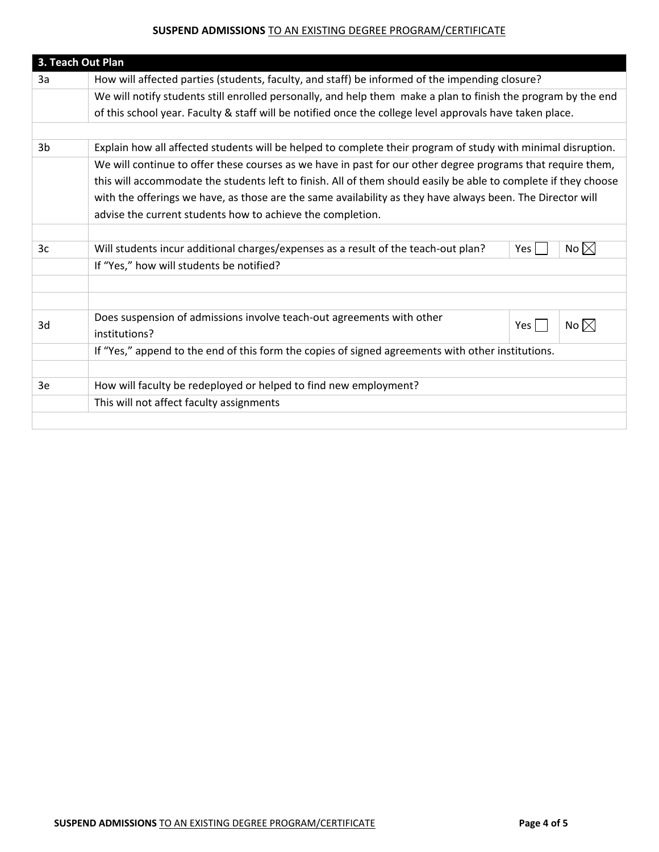|                                                                                                               | 3. Teach Out Plan                                                                                               |  |  |  |  |  |
|---------------------------------------------------------------------------------------------------------------|-----------------------------------------------------------------------------------------------------------------|--|--|--|--|--|
| How will affected parties (students, faculty, and staff) be informed of the impending closure?<br>3a          |                                                                                                                 |  |  |  |  |  |
| We will notify students still enrolled personally, and help them make a plan to finish the program by the end |                                                                                                                 |  |  |  |  |  |
|                                                                                                               | of this school year. Faculty & staff will be notified once the college level approvals have taken place.        |  |  |  |  |  |
|                                                                                                               |                                                                                                                 |  |  |  |  |  |
| 3 <sub>b</sub>                                                                                                | Explain how all affected students will be helped to complete their program of study with minimal disruption.    |  |  |  |  |  |
|                                                                                                               | We will continue to offer these courses as we have in past for our other degree programs that require them,     |  |  |  |  |  |
|                                                                                                               | this will accommodate the students left to finish. All of them should easily be able to complete if they choose |  |  |  |  |  |
|                                                                                                               | with the offerings we have, as those are the same availability as they have always been. The Director will      |  |  |  |  |  |
|                                                                                                               | advise the current students how to achieve the completion.                                                      |  |  |  |  |  |
|                                                                                                               |                                                                                                                 |  |  |  |  |  |
| 3c                                                                                                            | No $\boxtimes$<br>Will students incur additional charges/expenses as a result of the teach-out plan?<br>Yes     |  |  |  |  |  |
|                                                                                                               | If "Yes," how will students be notified?                                                                        |  |  |  |  |  |
|                                                                                                               |                                                                                                                 |  |  |  |  |  |
|                                                                                                               |                                                                                                                 |  |  |  |  |  |
| 3d                                                                                                            | Does suspension of admissions involve teach-out agreements with other<br>No $\boxtimes$<br>Yes                  |  |  |  |  |  |
|                                                                                                               | institutions?                                                                                                   |  |  |  |  |  |
|                                                                                                               | If "Yes," append to the end of this form the copies of signed agreements with other institutions.               |  |  |  |  |  |
|                                                                                                               |                                                                                                                 |  |  |  |  |  |
| 3e                                                                                                            | How will faculty be redeployed or helped to find new employment?                                                |  |  |  |  |  |
|                                                                                                               | This will not affect faculty assignments                                                                        |  |  |  |  |  |
|                                                                                                               |                                                                                                                 |  |  |  |  |  |